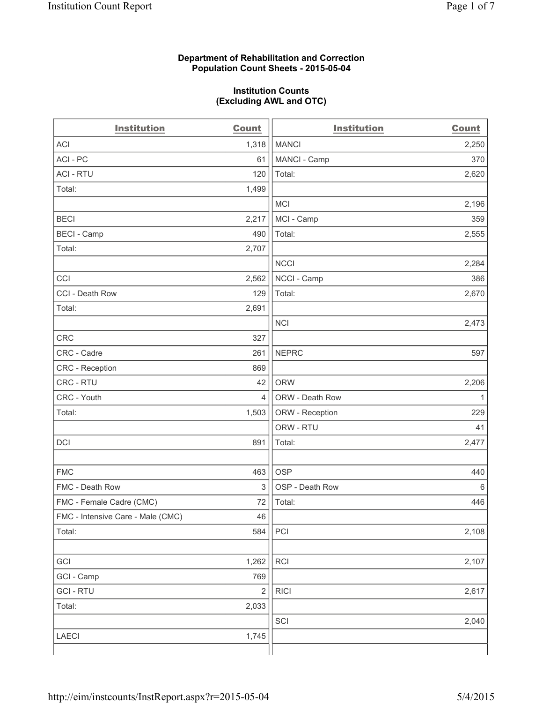## **Department of Rehabilitation and Correction Population Count Sheets - 2015-05-04**

## **Institution Counts (Excluding AWL and OTC)**

| <b>Institution</b>                | <b>Count</b>   | <b>Institution</b> | <b>Count</b> |
|-----------------------------------|----------------|--------------------|--------------|
| <b>ACI</b>                        | 1,318          | <b>MANCI</b>       | 2,250        |
| ACI-PC                            | 61             | MANCI - Camp       | 370          |
| <b>ACI - RTU</b>                  | 120            | Total:             | 2,620        |
| Total:                            | 1,499          |                    |              |
|                                   |                | <b>MCI</b>         | 2,196        |
| <b>BECI</b>                       | 2,217          | MCI - Camp         | 359          |
| <b>BECI - Camp</b>                | 490            | Total:             | 2,555        |
| Total:                            | 2,707          |                    |              |
|                                   |                | <b>NCCI</b>        | 2,284        |
| CCI                               | 2,562          | NCCI - Camp        | 386          |
| CCI - Death Row                   | 129            | Total:             | 2,670        |
| Total:                            | 2,691          |                    |              |
|                                   |                | <b>NCI</b>         | 2,473        |
| <b>CRC</b>                        | 327            |                    |              |
| CRC - Cadre                       | 261            | <b>NEPRC</b>       | 597          |
| CRC - Reception                   | 869            |                    |              |
| CRC - RTU                         | 42             | <b>ORW</b>         | 2,206        |
| CRC - Youth                       | 4              | ORW - Death Row    | 1            |
| Total:                            | 1,503          | ORW - Reception    | 229          |
|                                   |                | ORW - RTU          | 41           |
| DCI                               | 891            | Total:             | 2,477        |
|                                   |                |                    |              |
| <b>FMC</b>                        | 463            | <b>OSP</b>         | 440          |
| FMC - Death Row                   | 3              | OSP - Death Row    | 6            |
| FMC - Female Cadre (CMC)          | 72             | Total:             | 446          |
| FMC - Intensive Care - Male (CMC) | 46             |                    |              |
| Total:                            | 584            | PCI                | 2,108        |
|                                   |                |                    |              |
| GCI                               | 1,262          | RCI                | 2,107        |
| GCI - Camp                        | 769            |                    |              |
| <b>GCI-RTU</b>                    | $\overline{2}$ | <b>RICI</b>        | 2,617        |
| Total:                            | 2,033          |                    |              |
|                                   |                | SCI                | 2,040        |
| LAECI                             | 1,745          |                    |              |
|                                   |                |                    |              |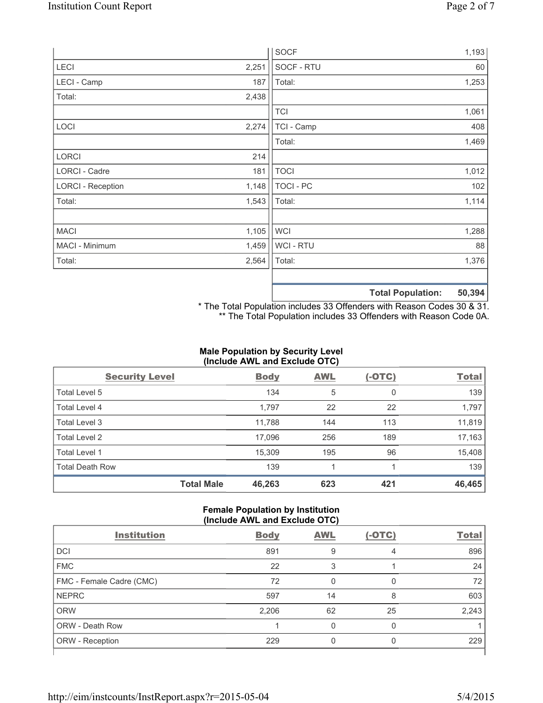|                          |       | <b>SOCF</b>      | 1,193                              |
|--------------------------|-------|------------------|------------------------------------|
| <b>LECI</b>              | 2,251 | SOCF - RTU       | 60                                 |
| LECI - Camp              | 187   | Total:           | 1,253                              |
| Total:                   | 2,438 |                  |                                    |
|                          |       | <b>TCI</b>       | 1,061                              |
| LOCI                     | 2,274 | TCI - Camp       | 408                                |
|                          |       | Total:           | 1,469                              |
| <b>LORCI</b>             | 214   |                  |                                    |
| LORCI - Cadre            | 181   | <b>TOCI</b>      | 1,012                              |
| <b>LORCI - Reception</b> | 1,148 | <b>TOCI - PC</b> | 102                                |
| Total:                   | 1,543 | Total:           | 1,114                              |
|                          |       |                  |                                    |
| <b>MACI</b>              | 1,105 | <b>WCI</b>       | 1,288                              |
| MACI - Minimum           | 1,459 | WCI - RTU        | 88                                 |
| Total:                   | 2,564 | Total:           | 1,376                              |
|                          |       |                  |                                    |
|                          |       |                  | $P^{\wedge}$<br>天下 ちょうし あいしょうしょうしん |

**Total Population: 50,394**

\* The Total Population includes 33 Offenders with Reason Codes 30 & 31. \*\* The Total Population includes 33 Offenders with Reason Code 0A.

# **Male Population by Security Level (Include AWL and Exclude OTC)**

| <b>Security Level</b>  |                   | <b>Body</b> | <b>AWL</b> | $(-OTC)$ | <b>Total</b> |
|------------------------|-------------------|-------------|------------|----------|--------------|
| Total Level 5          |                   | 134         | 5          | 0        | 139          |
| Total Level 4          |                   | 1,797       | 22         | 22       | 1,797        |
| Total Level 3          |                   | 11,788      | 144        | 113      | 11,819       |
| Total Level 2          |                   | 17,096      | 256        | 189      | 17,163       |
| Total Level 1          |                   | 15,309      | 195        | 96       | 15,408       |
| <b>Total Death Row</b> |                   | 139         |            |          | 139          |
|                        | <b>Total Male</b> | 46,263      | 623        | 421      | 46,465       |

#### **Female Population by Institution (Include AWL and Exclude OTC)**

|                          | ,           |            |        |              |
|--------------------------|-------------|------------|--------|--------------|
| <b>Institution</b>       | <b>Body</b> | <b>AWL</b> | (-OTC) | <b>Total</b> |
| DCI                      | 891         | 9          | 4      | 896          |
| <b>FMC</b>               | 22          |            |        | 24           |
| FMC - Female Cadre (CMC) | 72          |            | 0      | 72           |
| <b>NEPRC</b>             | 597         | 14         | 8      | 603          |
| <b>ORW</b>               | 2,206       | 62         | 25     | 2,243        |
| <b>ORW - Death Row</b>   |             |            | O      |              |
| ORW - Reception          | 229         |            |        | 229          |
|                          |             |            |        |              |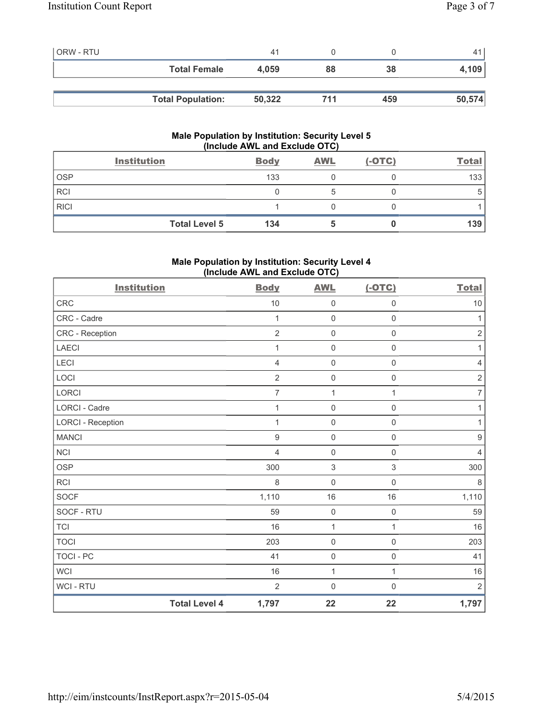| <b>ORW - RTU</b> |                          | 41     |     |     |        |
|------------------|--------------------------|--------|-----|-----|--------|
|                  | <b>Total Female</b>      | 4.059  | 88  | 38  | 4,109  |
|                  |                          |        |     |     |        |
|                  | <b>Total Population:</b> | 50,322 | 711 | 459 | 50,574 |

# **Male Population by Institution: Security Level 5 (Include AWL and Exclude OTC)**

|             | <b>Institution</b>   | <b>Body</b> | <b>AWL</b> | $(-OTC)$ | <b>Total</b> |
|-------------|----------------------|-------------|------------|----------|--------------|
| <b>OSP</b>  |                      | 133         |            |          | 133          |
| <b>RCI</b>  |                      |             |            |          |              |
| <b>RICI</b> |                      |             |            |          |              |
|             | <b>Total Level 5</b> | 134         |            |          | 139          |

# **Male Population by Institution: Security Level 4 (Include AWL and Exclude OTC)**

| <b>Institution</b>       |                      | <b>Body</b>    | <b>AWL</b>          | $(-OTC)$            | <b>Total</b>     |
|--------------------------|----------------------|----------------|---------------------|---------------------|------------------|
| <b>CRC</b>               |                      | 10             | $\mathsf{O}\xspace$ | $\mathsf{O}\xspace$ | 10               |
| CRC - Cadre              |                      | 1              | $\mathsf{O}\xspace$ | $\mathsf{O}\xspace$ | $\mathbf{1}$     |
| CRC - Reception          |                      | $\overline{2}$ | $\mathsf 0$         | $\mathsf{O}\xspace$ | $\sqrt{2}$       |
| LAECI                    |                      | 1              | $\mathsf{O}\xspace$ | $\mathsf 0$         | $\mathbf{1}$     |
| <b>LECI</b>              |                      | 4              | $\mathsf{O}\xspace$ | $\mathbf 0$         | $\overline{4}$   |
| LOCI                     |                      | 2              | $\mathbf 0$         | $\mathsf{O}\xspace$ | $\sqrt{2}$       |
| LORCI                    |                      | $\overline{7}$ | $\mathbf 1$         | 1                   | $\overline{7}$   |
| <b>LORCI - Cadre</b>     |                      | 1              | $\mathbf 0$         | $\mathbf 0$         | 1                |
| <b>LORCI - Reception</b> |                      | 1              | $\mathbf 0$         | $\mathbf 0$         | 1                |
| <b>MANCI</b>             |                      | 9              | $\mathsf{O}\xspace$ | $\mathsf{O}\xspace$ | $\boldsymbol{9}$ |
| <b>NCI</b>               |                      | $\overline{4}$ | $\mathsf{O}\xspace$ | $\mathsf{O}\xspace$ | $\overline{4}$   |
| <b>OSP</b>               |                      | 300            | $\mathfrak{S}$      | 3                   | 300              |
| RCI                      |                      | 8              | $\mathsf{O}\xspace$ | $\mathsf{O}\xspace$ | $\,8\,$          |
| <b>SOCF</b>              |                      | 1,110          | 16                  | 16                  | 1,110            |
| SOCF - RTU               |                      | 59             | $\mathbf 0$         | $\mathsf{O}\xspace$ | 59               |
| <b>TCI</b>               |                      | 16             | 1                   | $\mathbf{1}$        | 16               |
| <b>TOCI</b>              |                      | 203            | $\mathsf{O}\xspace$ | $\mathsf{O}\xspace$ | 203              |
| <b>TOCI - PC</b>         |                      | 41             | $\mathsf 0$         | $\mathsf{O}\xspace$ | 41               |
| <b>WCI</b>               |                      | 16             | $\mathbf{1}$        | $\mathbf{1}$        | $16$             |
| WCI - RTU                |                      | $\overline{2}$ | $\mathsf{O}\xspace$ | $\mathsf{O}\xspace$ | $\sqrt{2}$       |
|                          | <b>Total Level 4</b> | 1,797          | 22                  | 22                  | 1,797            |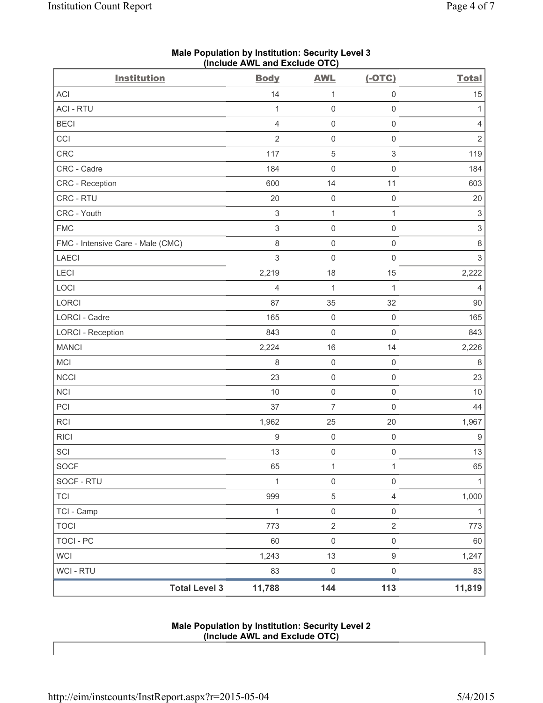| <b>Institution</b>                | <b>Body</b>    | <b>AWL</b>          | $(-OTC)$            | <b>Total</b>              |
|-----------------------------------|----------------|---------------------|---------------------|---------------------------|
| ACI                               | 14             | $\mathbf{1}$        | $\mathsf{O}\xspace$ | 15                        |
| <b>ACI - RTU</b>                  | $\mathbf{1}$   | $\mathsf{O}\xspace$ | $\mathsf 0$         | 1                         |
| <b>BECI</b>                       | $\overline{4}$ | 0                   | $\mathsf{O}\xspace$ | 4                         |
| CCI                               | $\overline{2}$ | $\mathsf 0$         | $\mathsf 0$         | $\sqrt{2}$                |
| <b>CRC</b>                        | 117            | $\mathbf 5$         | $\,$ 3 $\,$         | 119                       |
| CRC - Cadre                       | 184            | 0                   | $\mathsf{O}\xspace$ | 184                       |
| <b>CRC</b> - Reception            | 600            | 14                  | 11                  | 603                       |
| CRC - RTU                         | 20             | 0                   | $\mathsf 0$         | 20                        |
| CRC - Youth                       | $\sqrt{3}$     | $\mathbf{1}$        | $\mathbf{1}$        | $\ensuremath{\mathsf{3}}$ |
| <b>FMC</b>                        | $\sqrt{3}$     | $\mathsf{O}\xspace$ | $\mathsf 0$         | $\ensuremath{\mathsf{3}}$ |
| FMC - Intensive Care - Male (CMC) | 8              | $\mathsf 0$         | $\mathsf 0$         | $\,8\,$                   |
| <b>LAECI</b>                      | $\mathsf 3$    | $\mathsf{O}\xspace$ | $\mathsf 0$         | $\mathsf 3$               |
| LECI                              | 2,219          | 18                  | 15                  | 2,222                     |
| LOCI                              | $\overline{4}$ | $\mathbf{1}$        | $\mathbf{1}$        | $\overline{4}$            |
| LORCI                             | 87             | 35                  | 32                  | $90\,$                    |
| LORCI - Cadre                     | 165            | $\mathsf{O}\xspace$ | $\mathsf 0$         | 165                       |
| <b>LORCI - Reception</b>          | 843            | 0                   | $\mathsf{O}\xspace$ | 843                       |
| <b>MANCI</b>                      | 2,224          | 16                  | 14                  | 2,226                     |
| MCI                               | 8              | $\mathsf 0$         | $\mathsf 0$         | 8                         |
| <b>NCCI</b>                       | 23             | $\mathsf{O}\xspace$ | $\mathsf 0$         | 23                        |
| <b>NCI</b>                        | $10$           | $\mathsf{O}\xspace$ | $\mathsf{O}\xspace$ | 10                        |
| PCI                               | 37             | $\overline{7}$      | $\mathsf 0$         | 44                        |
| RCI                               | 1,962          | 25                  | 20                  | 1,967                     |
| <b>RICI</b>                       | $\hbox{9}$     | $\mathsf 0$         | $\mathsf{O}\xspace$ | $9\,$                     |
| SCI                               | 13             | 0                   | $\mathsf 0$         | 13                        |
| <b>SOCF</b>                       | 65             | 1                   | 1                   | 65                        |
| SOCF - RTU                        | 1              | $\mathsf{O}\xspace$ | $\mathsf{O}\xspace$ | 1                         |
| <b>TCI</b>                        | 999            | $\,$ 5 $\,$         | $\overline{4}$      | 1,000                     |
| TCI - Camp                        | $\mathbf 1$    | $\mathsf{O}\xspace$ | $\mathsf{O}\xspace$ | $\mathbf{1}$              |
| <b>TOCI</b>                       | 773            | $\mathbf 2$         | $\overline{2}$      | 773                       |
| <b>TOCI - PC</b>                  | 60             | $\mathsf{O}\xspace$ | $\mathsf 0$         | 60                        |
| <b>WCI</b>                        | 1,243          | 13                  | $\hbox{9}$          | 1,247                     |
| WCI - RTU                         | 83             | $\mathsf{O}\xspace$ | $\mathsf 0$         | 83                        |
| <b>Total Level 3</b>              | 11,788         | 144                 | 113                 | 11,819                    |

## **Male Population by Institution: Security Level 3 (Include AWL and Exclude OTC)**

#### **Male Population by Institution: Security Level 2 (Include AWL and Exclude OTC)**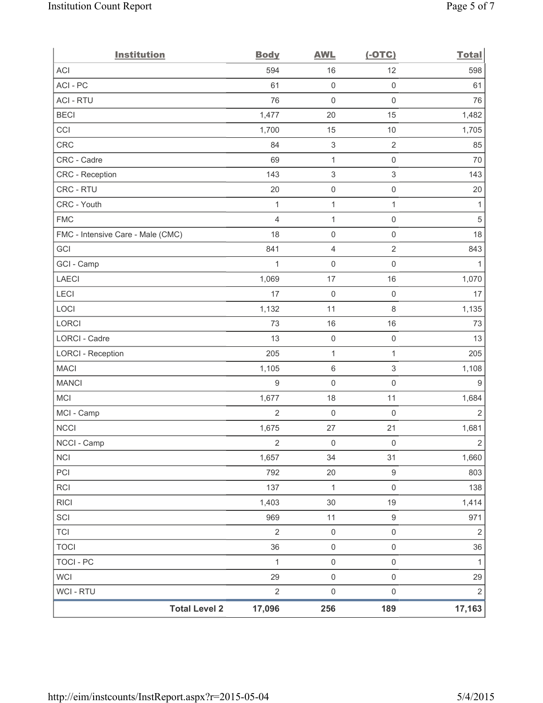| <b>Institution</b>                | <b>Body</b>      | <b>AWL</b>                | $(-OTC)$            | <b>Total</b>   |
|-----------------------------------|------------------|---------------------------|---------------------|----------------|
| <b>ACI</b>                        | 594              | 16                        | 12                  | 598            |
| ACI - PC                          | 61               | $\mathbf 0$               | $\mathsf 0$         | 61             |
| <b>ACI - RTU</b>                  | 76               | $\mathbf 0$               | $\mathsf 0$         | 76             |
| <b>BECI</b>                       | 1,477            | 20                        | 15                  | 1,482          |
| CCI                               | 1,700            | 15                        | $10$                | 1,705          |
| CRC                               | 84               | $\ensuremath{\mathsf{3}}$ | $\sqrt{2}$          | 85             |
| CRC - Cadre                       | 69               | $\mathbf{1}$              | $\mathsf 0$         | 70             |
| <b>CRC</b> - Reception            | 143              | $\ensuremath{\mathsf{3}}$ | $\mathsf 3$         | 143            |
| CRC - RTU                         | 20               | $\mathsf{O}\xspace$       | $\mathsf{O}\xspace$ | 20             |
| CRC - Youth                       | 1                | $\mathbf 1$               | 1                   | 1              |
| <b>FMC</b>                        | $\overline{4}$   | $\mathbf{1}$              | $\mathsf 0$         | $\sqrt{5}$     |
| FMC - Intensive Care - Male (CMC) | 18               | $\mathsf{O}\xspace$       | $\mathsf{O}\xspace$ | 18             |
| GCI                               | 841              | $\overline{4}$            | $\overline{2}$      | 843            |
| GCI - Camp                        | 1                | $\mathsf{O}\xspace$       | $\mathsf{O}\xspace$ | 1              |
| <b>LAECI</b>                      | 1,069            | 17                        | 16                  | 1,070          |
| LECI                              | 17               | $\mathbf 0$               | $\mathsf 0$         | 17             |
| LOCI                              | 1,132            | 11                        | $\,8\,$             | 1,135          |
| LORCI                             | 73               | 16                        | 16                  | 73             |
| LORCI - Cadre                     | 13               | $\mathsf{O}\xspace$       | $\mathsf{O}\xspace$ | 13             |
| <b>LORCI - Reception</b>          | 205              | $\mathbf{1}$              | 1                   | 205            |
| <b>MACI</b>                       | 1,105            | $\,6\,$                   | 3                   | 1,108          |
| <b>MANCI</b>                      | $\boldsymbol{9}$ | $\mathbf 0$               | $\mathsf 0$         | $9\,$          |
| MCI                               | 1,677            | 18                        | 11                  | 1,684          |
| MCI - Camp                        | $\overline{2}$   | $\mathbf 0$               | $\mathsf 0$         | $\overline{2}$ |
| <b>NCCI</b>                       | 1,675            | 27                        | 21                  | 1,681          |
| NCCI - Camp                       | $\mathbf 2$      | $\mathbf 0$               | $\mathsf{O}\xspace$ | $\mathbf 2$    |
| <b>NCI</b>                        | 1,657            | 34                        | 31                  | 1,660          |
| PCI                               | 792              | $20\,$                    | $\boldsymbol{9}$    | 803            |
| RCI                               | 137              | $\mathbf{1}$              | $\mathsf 0$         | 138            |
| <b>RICI</b>                       | 1,403            | $30\,$                    | 19                  | 1,414          |
| SCI                               | 969              | 11                        | $\mathsf g$         | 971            |
| <b>TCI</b>                        | $\overline{2}$   | $\mathsf 0$               | $\mathsf{O}\xspace$ | $\sqrt{2}$     |
| <b>TOCI</b>                       | 36               | $\mathsf{O}\xspace$       | $\mathsf{O}\xspace$ | 36             |
| <b>TOCI - PC</b>                  | $\mathbf{1}$     | $\mathsf{O}\xspace$       | $\mathsf{O}\xspace$ | 1              |
| <b>WCI</b>                        | 29               | $\mathsf{O}\xspace$       | $\mathsf{O}\xspace$ | 29             |
| WCI - RTU                         | $\overline{2}$   | $\mathsf{O}\xspace$       | $\mathsf{O}\xspace$ | $\sqrt{2}$     |
| <b>Total Level 2</b>              | 17,096           | 256                       | 189                 | 17,163         |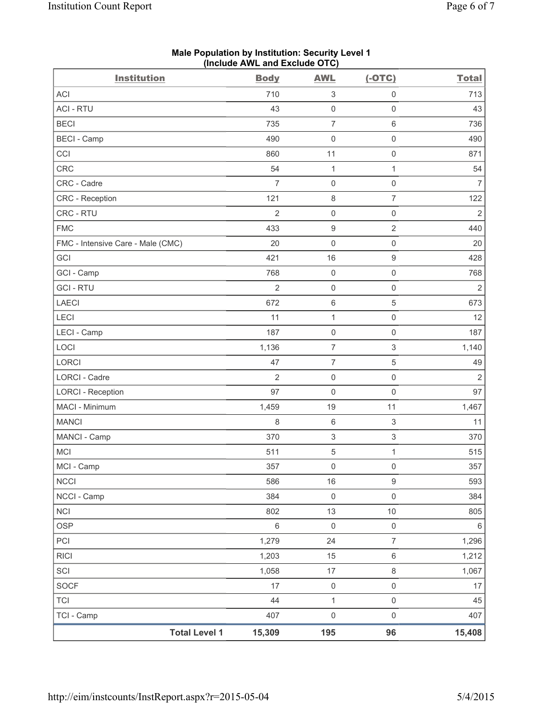| <b>Institution</b>                | <b>Body</b>    | <b>AWL</b>                | $(-OTC)$            | <b>Total</b>   |
|-----------------------------------|----------------|---------------------------|---------------------|----------------|
| <b>ACI</b>                        | 710            | $\ensuremath{\mathsf{3}}$ | $\mathsf{O}\xspace$ | 713            |
| <b>ACI - RTU</b>                  | 43             | $\mathsf 0$               | $\mathsf{O}\xspace$ | 43             |
| <b>BECI</b>                       | 735            | $\overline{7}$            | $\,6\,$             | 736            |
| <b>BECI</b> - Camp                | 490            | $\mathsf 0$               | $\mathsf{O}\xspace$ | 490            |
| CCI                               | 860            | 11                        | $\mathsf{O}\xspace$ | 871            |
| CRC                               | 54             | $\mathbf{1}$              | $\mathbf{1}$        | 54             |
| CRC - Cadre                       | $\overline{7}$ | $\mathsf 0$               | $\mathsf{O}\xspace$ | $\overline{7}$ |
| CRC - Reception                   | 121            | $\,8\,$                   | $\overline{7}$      | 122            |
| CRC - RTU                         | $\overline{2}$ | $\mathsf 0$               | $\mathsf{O}\xspace$ | $\overline{2}$ |
| <b>FMC</b>                        | 433            | $\boldsymbol{9}$          | $\overline{2}$      | 440            |
| FMC - Intensive Care - Male (CMC) | 20             | $\mathbf 0$               | $\mathsf 0$         | 20             |
| GCI                               | 421            | 16                        | $\boldsymbol{9}$    | 428            |
| GCI - Camp                        | 768            | $\mathsf{O}\xspace$       | $\mathsf{O}\xspace$ | 768            |
| <b>GCI - RTU</b>                  | $\overline{2}$ | $\mathsf 0$               | $\mathsf 0$         | $\overline{2}$ |
| LAECI                             | 672            | $\,6\,$                   | $\sqrt{5}$          | 673            |
| LECI                              | 11             | $\mathbf{1}$              | $\mathsf{O}\xspace$ | 12             |
| LECI - Camp                       | 187            | $\mathsf 0$               | $\mathsf{O}\xspace$ | 187            |
| LOCI                              | 1,136          | $\overline{7}$            | 3                   | 1,140          |
| LORCI                             | 47             | $\overline{7}$            | $\,$ 5 $\,$         | 49             |
| <b>LORCI - Cadre</b>              | $\overline{2}$ | $\mathsf 0$               | $\mathsf{O}\xspace$ | $\overline{2}$ |
| <b>LORCI - Reception</b>          | 97             | $\mathbf 0$               | $\mathsf{O}\xspace$ | 97             |
| MACI - Minimum                    | 1,459          | 19                        | 11                  | 1,467          |
| <b>MANCI</b>                      | 8              | $\,6\,$                   | 3                   | 11             |
| MANCI - Camp                      | 370            | $\ensuremath{\mathsf{3}}$ | 3                   | 370            |
| <b>MCI</b>                        | 511            | $\sqrt{5}$                | $\mathbf{1}$        | 515            |
| MCI - Camp                        | 357            | $\mathsf 0$               | $\mathsf 0$         | 357            |
| <b>NCCI</b>                       | 586            | 16                        | $\boldsymbol{9}$    | 593            |
| NCCI - Camp                       | 384            | $\mathsf{O}\xspace$       | $\mathsf{O}\xspace$ | 384            |
| <b>NCI</b>                        | 802            | 13                        | $10$                | 805            |
| <b>OSP</b>                        | $\,6$          | $\mathsf{O}\xspace$       | $\mathsf{O}\xspace$ | 6              |
| PCI                               | 1,279          | 24                        | $\overline{7}$      | 1,296          |
| <b>RICI</b>                       | 1,203          | 15                        | $\,6\,$             | 1,212          |
| SCI                               | 1,058          | 17                        | $\,8\,$             | 1,067          |
| SOCF                              | 17             | $\mathsf{O}\xspace$       | $\mathsf{O}\xspace$ | 17             |
| <b>TCI</b>                        | 44             | 1                         | $\mathsf{O}\xspace$ | 45             |
| TCI - Camp                        | 407            | $\mathsf{O}\xspace$       | $\mathsf{O}\xspace$ | 407            |
| <b>Total Level 1</b>              | 15,309         | 195                       | 96                  | 15,408         |

#### **Male Population by Institution: Security Level 1 (Include AWL and Exclude OTC)**